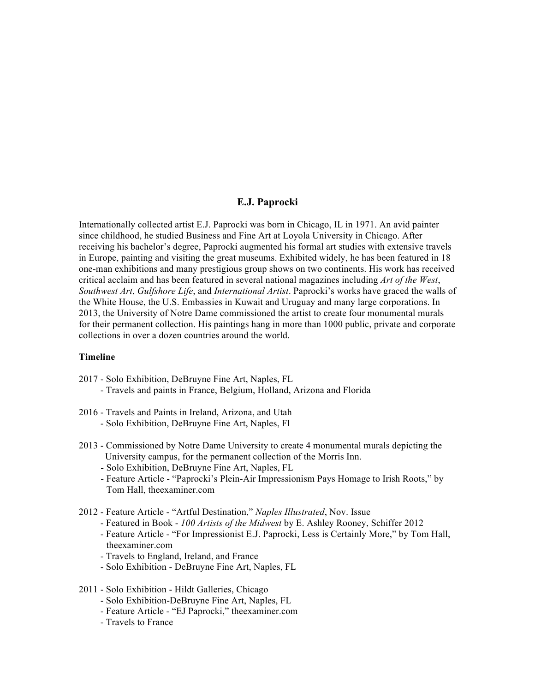## **E.J. Paprocki**

Internationally collected artist E.J. Paprocki was born in Chicago, IL in 1971. An avid painter since childhood, he studied Business and Fine Art at Loyola University in Chicago. After receiving his bachelor's degree, Paprocki augmented his formal art studies with extensive travels in Europe, painting and visiting the great museums. Exhibited widely, he has been featured in 18 one-man exhibitions and many prestigious group shows on two continents. His work has received critical acclaim and has been featured in several national magazines including *Art of the West*, *Southwest Art*, *Gulfshore Life*, and *International Artist*. Paprocki's works have graced the walls of the White House, the U.S. Embassies in Kuwait and Uruguay and many large corporations. In 2013, the University of Notre Dame commissioned the artist to create four monumental murals for their permanent collection. His paintings hang in more than 1000 public, private and corporate collections in over a dozen countries around the world.

### **Timeline**

- 2017 Solo Exhibition, DeBruyne Fine Art, Naples, FL - Travels and paints in France, Belgium, Holland, Arizona and Florida
- 2016 Travels and Paints in Ireland, Arizona, and Utah - Solo Exhibition, DeBruyne Fine Art, Naples, Fl
- 2013 Commissioned by Notre Dame University to create 4 monumental murals depicting the University campus, for the permanent collection of the Morris Inn.
	- Solo Exhibition, DeBruyne Fine Art, Naples, FL
	- Feature Article "Paprocki's Plein-Air Impressionism Pays Homage to Irish Roots," by Tom Hall, theexaminer.com
- 2012 Feature Article "Artful Destination," *Naples Illustrated*, Nov. Issue
	- Featured in Book *100 Artists of the Midwest* by E. Ashley Rooney, Schiffer 2012
	- Feature Article "For Impressionist E.J. Paprocki, Less is Certainly More," by Tom Hall, theexaminer.com
	- Travels to England, Ireland, and France
	- Solo Exhibition DeBruyne Fine Art, Naples, FL
- 2011 Solo Exhibition Hildt Galleries, Chicago
	- Solo Exhibition-DeBruyne Fine Art, Naples, FL
	- Feature Article "EJ Paprocki," theexaminer.com
	- Travels to France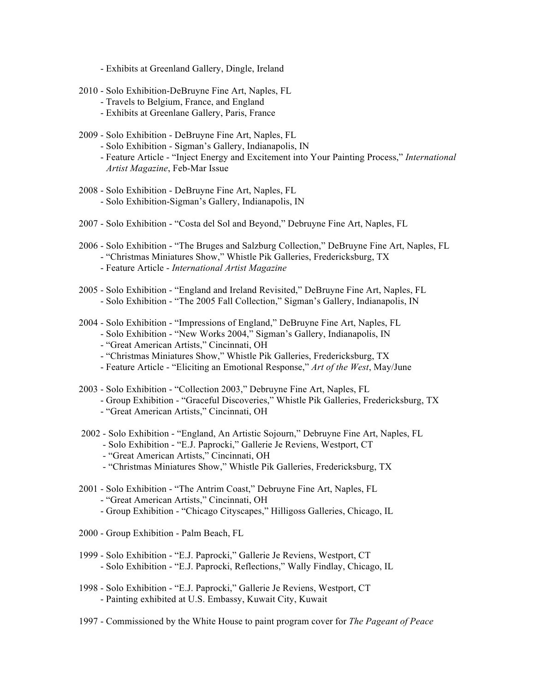- Exhibits at Greenland Gallery, Dingle, Ireland
- 2010 Solo Exhibition-DeBruyne Fine Art, Naples, FL
	- Travels to Belgium, France, and England
	- Exhibits at Greenlane Gallery, Paris, France
- 2009 Solo Exhibition DeBruyne Fine Art, Naples, FL
	- Solo Exhibition Sigman's Gallery, Indianapolis, IN
	- Feature Article "Inject Energy and Excitement into Your Painting Process," *International Artist Magazine*, Feb-Mar Issue
- 2008 Solo Exhibition DeBruyne Fine Art, Naples, FL - Solo Exhibition-Sigman's Gallery, Indianapolis, IN
- 2007 Solo Exhibition "Costa del Sol and Beyond," Debruyne Fine Art, Naples, FL
- 2006 Solo Exhibition "The Bruges and Salzburg Collection," DeBruyne Fine Art, Naples, FL - "Christmas Miniatures Show," Whistle Pik Galleries, Fredericksburg, TX
	- Feature Article *International Artist Magazine*
- 2005 Solo Exhibition "England and Ireland Revisited," DeBruyne Fine Art, Naples, FL - Solo Exhibition - "The 2005 Fall Collection," Sigman's Gallery, Indianapolis, IN
- 2004 Solo Exhibition "Impressions of England," DeBruyne Fine Art, Naples, FL
	- Solo Exhibition "New Works 2004," Sigman's Gallery, Indianapolis, IN
	- "Great American Artists," Cincinnati, OH
	- "Christmas Miniatures Show," Whistle Pik Galleries, Fredericksburg, TX
	- Feature Article "Eliciting an Emotional Response," *Art of the West*, May/June
- 2003 Solo Exhibition "Collection 2003," Debruyne Fine Art, Naples, FL
	- Group Exhibition "Graceful Discoveries," Whistle Pik Galleries, Fredericksburg, TX
	- "Great American Artists," Cincinnati, OH
- 2002 Solo Exhibition "England, An Artistic Sojourn," Debruyne Fine Art, Naples, FL - Solo Exhibition - "E.J. Paprocki," Gallerie Je Reviens, Westport, CT
	-
	- "Great American Artists," Cincinnati, OH
	- "Christmas Miniatures Show," Whistle Pik Galleries, Fredericksburg, TX
- 2001 Solo Exhibition "The Antrim Coast," Debruyne Fine Art, Naples, FL - "Great American Artists," Cincinnati, OH
	- Group Exhibition "Chicago Cityscapes," Hilligoss Galleries, Chicago, IL
- 2000 Group Exhibition Palm Beach, FL
- 1999 Solo Exhibition "E.J. Paprocki," Gallerie Je Reviens, Westport, CT - Solo Exhibition - "E.J. Paprocki, Reflections," Wally Findlay, Chicago, IL
- 1998 Solo Exhibition "E.J. Paprocki," Gallerie Je Reviens, Westport, CT - Painting exhibited at U.S. Embassy, Kuwait City, Kuwait
- 1997 Commissioned by the White House to paint program cover for *The Pageant of Peace*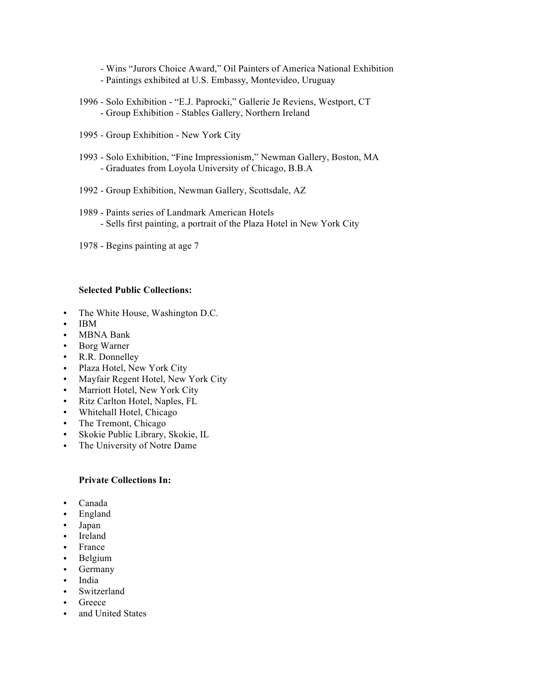- Wins "Jurors Choice Award," Oil Painters of America National Exhibition
- Paintings exhibited at U.S. Embassy, Montevideo, Uruguay
- 1996 Solo Exhibition "E.J. Paprocki," Gallerie Je Reviens, Westport, CT - Group Exhibition - Stables Gallery, Northern Ireland
- 1995 Group Exhibition New York City
- 1993 Solo Exhibition, "Fine Impressionism," Newman Gallery, Boston, MA - Graduates from Loyola University of Chicago, B.B.A
- 1992 Group Exhibition, Newman Gallery, Scottsdale, AZ
- 1989 Paints series of Landmark American Hotels - Sells first painting, a portrait of the Plaza Hotel in New York City
- 1978 Begins painting at age 7

## **Selected Public Collections:**

- The White House, Washington D.C.
- IBM
- MBNA Bank
- Borg Warner
- R.R. Donnelley
- Plaza Hotel, New York City
- Mayfair Regent Hotel, New York City
- Marriott Hotel, New York City
- Ritz Carlton Hotel, Naples, FL
- Whitehall Hotel, Chicago
- The Tremont, Chicago
- Skokie Public Library, Skokie, IL
- The University of Notre Dame

### **Private Collections In:**

- Canada
- England
- Japan
- Ireland
- France
- Belgium
- Germany
- India
- **Switzerland**
- Greece
- and United States